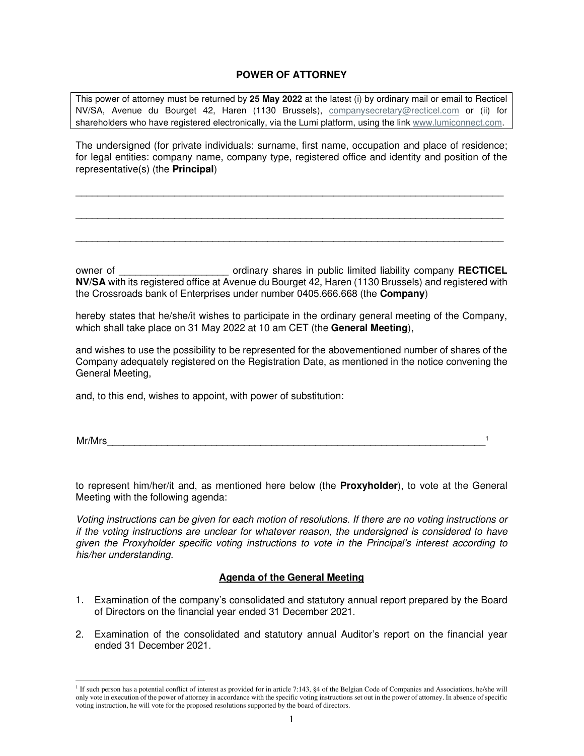# **POWER OF ATTORNEY**

This power of attorney must be returned by **25 May 2022** at the latest (i) by ordinary mail or email to Recticel NV/SA, Avenue du Bourget 42, Haren (1130 Brussels), companysecretary@recticel.com or (ii) for shareholders who have registered electronically, via the Lumi platform, using the link www.lumiconnect.com.

The undersigned (for private individuals: surname, first name, occupation and place of residence; for legal entities: company name, company type, registered office and identity and position of the representative(s) (the **Principal**)

\_\_\_\_\_\_\_\_\_\_\_\_\_\_\_\_\_\_\_\_\_\_\_\_\_\_\_\_\_\_\_\_\_\_\_\_\_\_\_\_\_\_\_\_\_\_\_\_\_\_\_\_\_\_\_\_\_\_\_\_\_\_\_\_\_\_\_\_\_\_\_\_\_\_\_\_\_\_

\_\_\_\_\_\_\_\_\_\_\_\_\_\_\_\_\_\_\_\_\_\_\_\_\_\_\_\_\_\_\_\_\_\_\_\_\_\_\_\_\_\_\_\_\_\_\_\_\_\_\_\_\_\_\_\_\_\_\_\_\_\_\_\_\_\_\_\_\_\_\_\_\_\_\_\_\_\_

\_\_\_\_\_\_\_\_\_\_\_\_\_\_\_\_\_\_\_\_\_\_\_\_\_\_\_\_\_\_\_\_\_\_\_\_\_\_\_\_\_\_\_\_\_\_\_\_\_\_\_\_\_\_\_\_\_\_\_\_\_\_\_\_\_\_\_\_\_\_\_\_\_\_\_\_\_\_

owner of \_\_\_\_\_\_\_\_\_\_\_\_\_\_\_\_\_\_\_\_ ordinary shares in public limited liability company **RECTICEL NV/SA** with its registered office at Avenue du Bourget 42, Haren (1130 Brussels) and registered with the Crossroads bank of Enterprises under number 0405.666.668 (the **Company**)

hereby states that he/she/it wishes to participate in the ordinary general meeting of the Company, which shall take place on 31 May 2022 at 10 am CET (the **General Meeting**),

and wishes to use the possibility to be represented for the abovementioned number of shares of the Company adequately registered on the Registration Date, as mentioned in the notice convening the General Meeting,

and, to this end, wishes to appoint, with power of substitution:

Mr/Mrs\_\_\_\_\_\_\_\_\_\_\_\_\_\_\_\_\_\_\_\_\_\_\_\_\_\_\_\_\_\_\_\_\_\_\_\_\_\_\_\_\_\_\_\_\_\_\_\_\_\_\_\_\_\_\_\_\_\_\_\_\_\_\_\_\_\_\_\_\_ 1

to represent him/her/it and, as mentioned here below (the **Proxyholder**), to vote at the General Meeting with the following agenda:

Voting instructions can be given for each motion of resolutions. If there are no voting instructions or if the voting instructions are unclear for whatever reason, the undersigned is considered to have given the Proxyholder specific voting instructions to vote in the Principal's interest according to his/her understanding.

# **Agenda of the General Meeting**

- 1. Examination of the company's consolidated and statutory annual report prepared by the Board of Directors on the financial year ended 31 December 2021.
- 2. Examination of the consolidated and statutory annual Auditor's report on the financial year ended 31 December 2021.

<sup>&</sup>lt;sup>1</sup> If such person has a potential conflict of interest as provided for in article 7:143, §4 of the Belgian Code of Companies and Associations, he/she will only vote in execution of the power of attorney in accordance with the specific voting instructions set out in the power of attorney. In absence of specific voting instruction, he will vote for the proposed resolutions supported by the board of directors.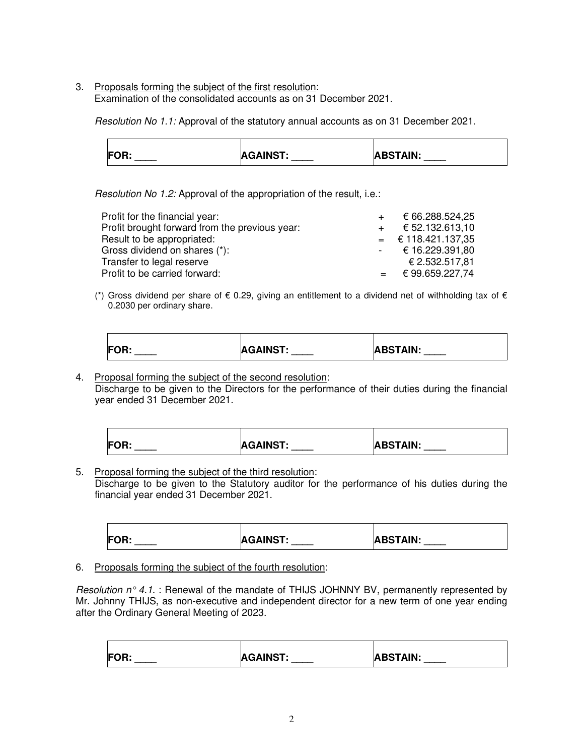3. Proposals forming the subject of the first resolution: Examination of the consolidated accounts as on 31 December 2021.

Resolution No 1.1: Approval of the statutory annual accounts as on 31 December 2021.

| <b>FOR:</b><br>____ | <b>AGAINST:</b><br>___ | <b>ABSTAIN:</b> |
|---------------------|------------------------|-----------------|

Resolution No 1.2: Approval of the appropriation of the result, i.e.:

| Profit for the financial year:                 | $+$ | € 66.288.524,25            |
|------------------------------------------------|-----|----------------------------|
| Profit brought forward from the previous year: | $+$ | € 52.132.613.10            |
| Result to be appropriated:                     |     | $=$ € 118.421.137,35       |
| Gross dividend on shares (*):                  |     | $\text{-}$ € 16.229.391,80 |
| Transfer to legal reserve                      |     | € 2.532.517.81             |
| Profit to be carried forward:                  |     | € 99.659.227,74            |

(\*) Gross dividend per share of  $\epsilon$  0.29, giving an entitlement to a dividend net of withholding tax of  $\epsilon$ 0.2030 per ordinary share.

| <b>FOR:</b> | <b>AGAINST:</b> | <b>ABSTAIN:</b> |
|-------------|-----------------|-----------------|
|             |                 |                 |

4. Proposal forming the subject of the second resolution: Discharge to be given to the Directors for the performance of their duties during the financial year ended 31 December 2021.

| <b>FOR:</b> | <b>AGAINST:</b> | <b>ABSTAIN:</b> |
|-------------|-----------------|-----------------|

5. Proposal forming the subject of the third resolution: Discharge to be given to the Statutory auditor for the performance of his duties during the financial year ended 31 December 2021.

| <b>FOR:</b> | <b>AGAINST:</b> | <b>ABSTAIN:</b> |
|-------------|-----------------|-----------------|
| ____        | ____            | _____           |

6. Proposals forming the subject of the fourth resolution:

Resolution  $n^{\circ}$  4.1. : Renewal of the mandate of THIJS JOHNNY BV, permanently represented by Mr. Johnny THIJS, as non-executive and independent director for a new term of one year ending after the Ordinary General Meeting of 2023.

| <b>FOR:</b><br>____ | <b>AGAINST:</b> | <b>ABSTAIN:</b> |
|---------------------|-----------------|-----------------|
|---------------------|-----------------|-----------------|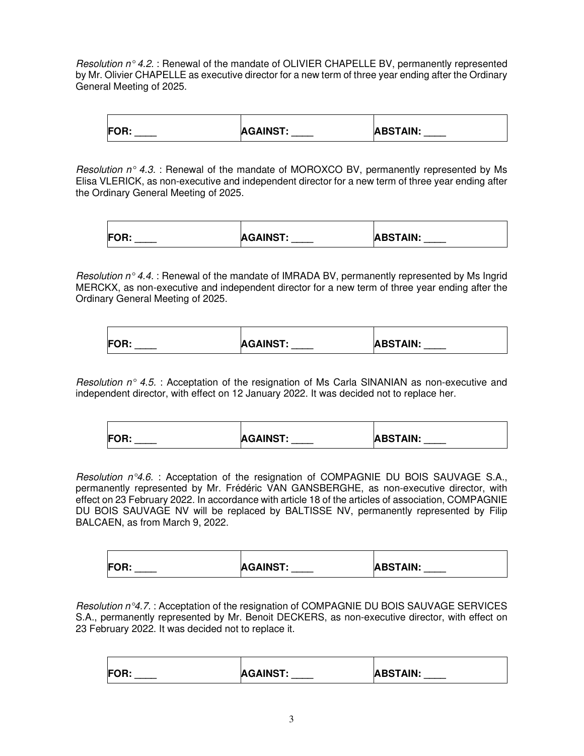Resolution  $n^{\circ}$  4.2. : Renewal of the mandate of OLIVIER CHAPELLE BV, permanently represented by Mr. Olivier CHAPELLE as executive director for a new term of three year ending after the Ordinary General Meeting of 2025.

| <b>FOR:</b> | <b>AGAINST:</b> | <b>ABSTAIN:</b> |
|-------------|-----------------|-----------------|
|             |                 |                 |

Resolution  $n^{\circ}$  4.3. : Renewal of the mandate of MOROXCO BV, permanently represented by Ms Elisa VLERICK, as non-executive and independent director for a new term of three year ending after the Ordinary General Meeting of 2025.

| <b>FOR:</b><br>vıı. | <b>AGAINST:</b><br>____ | <b>ABSTAIN:</b> |
|---------------------|-------------------------|-----------------|

Resolution  $n^{\circ}$  4.4. : Renewal of the mandate of IMRADA BV, permanently represented by Ms Ingrid MERCKX, as non-executive and independent director for a new term of three year ending after the Ordinary General Meeting of 2025.

| <b>FOR:</b> | <b>AGAINST:</b><br>____ | <b>ABSTAIN:</b> |
|-------------|-------------------------|-----------------|
|             |                         |                 |

Resolution  $n^{\circ}$  4.5. : Acceptation of the resignation of Ms Carla SINANIAN as non-executive and independent director, with effect on 12 January 2022. It was decided not to replace her.

| <b>FOR:</b> | <b>AGAINST:</b> | <b>ABSTAIN:</b> |
|-------------|-----------------|-----------------|
|             |                 |                 |

Resolution  $n^{\circ}4.6$ . : Acceptation of the resignation of COMPAGNIE DU BOIS SAUVAGE S.A., permanently represented by Mr. Frédéric VAN GANSBERGHE, as non-executive director, with effect on 23 February 2022. In accordance with article 18 of the articles of association, COMPAGNIE DU BOIS SAUVAGE NV will be replaced by BALTISSE NV, permanently represented by Filip BALCAEN, as from March 9, 2022.

| <b>FOR:</b> | <b>AGAINST:</b> | <b>ABSTAIN:</b> |
|-------------|-----------------|-----------------|
|             |                 |                 |

Resolution n°4.7. : Acceptation of the resignation of COMPAGNIE DU BOIS SAUVAGE SERVICES S.A., permanently represented by Mr. Benoit DECKERS, as non-executive director, with effect on 23 February 2022. It was decided not to replace it.

| FOR:<br>$-$ | <b>AGAINST:</b> | <b>ABSTAIN:</b> |
|-------------|-----------------|-----------------|
|-------------|-----------------|-----------------|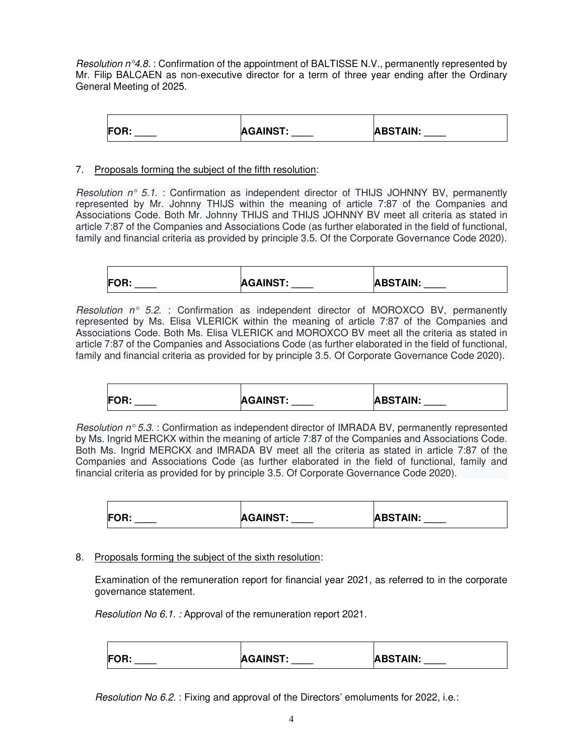Resolution  $n^{\circ}4.8.$ : Confirmation of the appointment of BALTISSE N.V., permanently represented by Mr. Filip BALCAEN as non-executive director for a term of three year ending after the Ordinary General Meeting of 2025.

| <b>FOR:</b> | <b>AGAINST:</b> | <b>ABSTAIN:</b> |
|-------------|-----------------|-----------------|
|             |                 |                 |

# 7. Proposals forming the subject of the fifth resolution:

Resolution  $n^{\circ}$  5.1. : Confirmation as independent director of THIJS JOHNNY BV, permanently represented by Mr. Johnny THIJS within the meaning of article 7:87 of the Companies and Associations Code. Both Mr. Johnny THIJS and THIJS JOHNNY BV meet all criteria as stated in article 7:87 of the Companies and Associations Code (as further elaborated in the field of functional, family and financial criteria as provided by principle 3.5. Of the Corporate Governance Code 2020).

| <b>FOR:</b> | <b>AGAINST:</b> | <b>ABSTAIN:</b> |
|-------------|-----------------|-----------------|
|             |                 |                 |

Resolution  $n^{\circ}$  5.2. : Confirmation as independent director of MOROXCO BV, permanently represented by Ms. Elisa VLERICK within the meaning of article 7:87 of the Companies and Associations Code. Both Ms. Elisa VLERICK and MOROXCO BV meet all the criteria as stated in article 7:87 of the Companies and Associations Code (as further elaborated in the field of functional, family and financial criteria as provided for by principle 3.5. Of Corporate Governance Code 2020).

| <b>FOR:</b> | <b>AGAINST:</b> | <b>ABSTAIN:</b> |
|-------------|-----------------|-----------------|
|             |                 |                 |

Resolution  $n^{\circ}$  5.3. : Confirmation as independent director of IMRADA BV, permanently represented by Ms. Ingrid MERCKX within the meaning of article 7:87 of the Companies and Associations Code. Both Ms. Ingrid MERCKX and IMRADA BV meet all the criteria as stated in article 7:87 of the Companies and Associations Code (as further elaborated in the field of functional, family and financial criteria as provided for by principle 3.5. Of Corporate Governance Code 2020).

| <b>FOR:</b> | <b>AGAINST:</b> | <b>ABSTAIN:</b> |
|-------------|-----------------|-----------------|
|             |                 |                 |

# 8. Proposals forming the subject of the sixth resolution:

 Examination of the remuneration report for financial year 2021, as referred to in the corporate governance statement.

Resolution No 6.1. : Approval of the remuneration report 2021.

| <b>FOR:</b><br><b>AGAINST:</b><br><b>ABSTAIN:</b> |  |
|---------------------------------------------------|--|
|---------------------------------------------------|--|

Resolution No 6.2. : Fixing and approval of the Directors' emoluments for 2022, i.e.: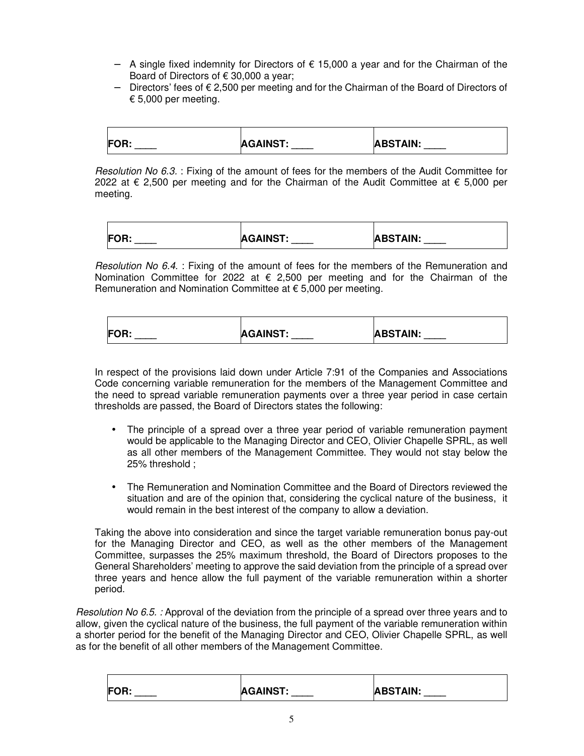- − A single fixed indemnity for Directors of € 15,000 a year and for the Chairman of the Board of Directors of  $\epsilon$  30,000 a year;
- − Directors' fees of € 2,500 per meeting and for the Chairman of the Board of Directors of € 5,000 per meeting.

| $F^{\sim}$<br>vıı. | <b>AGAINST:</b> | <b>ABSTAIN:</b> |
|--------------------|-----------------|-----------------|

Resolution No 6.3. : Fixing of the amount of fees for the members of the Audit Committee for 2022 at € 2,500 per meeting and for the Chairman of the Audit Committee at € 5,000 per meeting.

| <b>FOR</b><br>vıı. | <b>AGAINST:</b> | <b>ABSTAIN:</b> |
|--------------------|-----------------|-----------------|

Resolution No 6.4. : Fixing of the amount of fees for the members of the Remuneration and Nomination Committee for 2022 at  $\epsilon$  2,500 per meeting and for the Chairman of the Remuneration and Nomination Committee at € 5,000 per meeting.

| <b>FOR:</b> | <b>AGAINST:</b> | <b>ABSTAIN:</b> |
|-------------|-----------------|-----------------|
| ____        | ____            | _____           |

 In respect of the provisions laid down under Article 7:91 of the Companies and Associations Code concerning variable remuneration for the members of the Management Committee and the need to spread variable remuneration payments over a three year period in case certain thresholds are passed, the Board of Directors states the following:

- The principle of a spread over a three year period of variable remuneration payment would be applicable to the Managing Director and CEO, Olivier Chapelle SPRL, as well as all other members of the Management Committee. They would not stay below the 25% threshold ;
- The Remuneration and Nomination Committee and the Board of Directors reviewed the situation and are of the opinion that, considering the cyclical nature of the business, it would remain in the best interest of the company to allow a deviation.

Taking the above into consideration and since the target variable remuneration bonus pay-out for the Managing Director and CEO, as well as the other members of the Management Committee, surpasses the 25% maximum threshold, the Board of Directors proposes to the General Shareholders' meeting to approve the said deviation from the principle of a spread over three years and hence allow the full payment of the variable remuneration within a shorter period.

Resolution No 6.5. : Approval of the deviation from the principle of a spread over three years and to allow, given the cyclical nature of the business, the full payment of the variable remuneration within a shorter period for the benefit of the Managing Director and CEO, Olivier Chapelle SPRL, as well as for the benefit of all other members of the Management Committee.

| <b>FOR:</b> | <b>AGAINST:</b> | <b>ABSTAIN:</b> |
|-------------|-----------------|-----------------|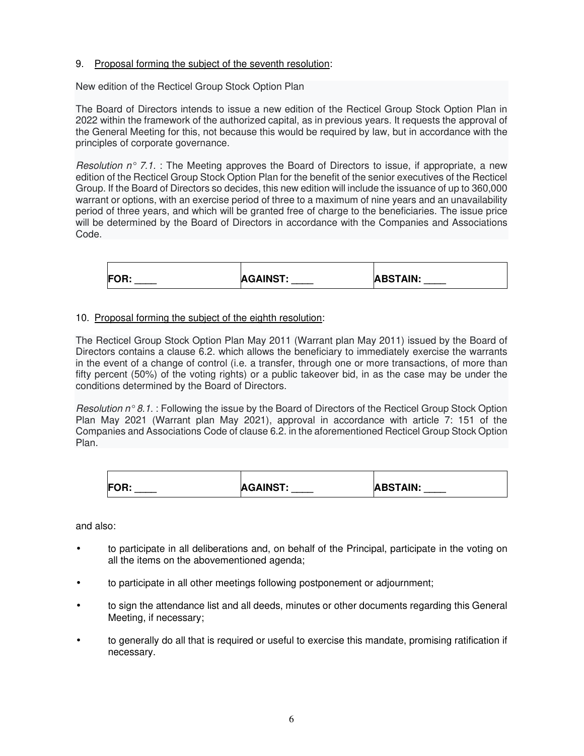# 9. Proposal forming the subject of the seventh resolution:

New edition of the Recticel Group Stock Option Plan

The Board of Directors intends to issue a new edition of the Recticel Group Stock Option Plan in 2022 within the framework of the authorized capital, as in previous years. It requests the approval of the General Meeting for this, not because this would be required by law, but in accordance with the principles of corporate governance.

Resolution  $n^{\circ}$  7.1. : The Meeting approves the Board of Directors to issue, if appropriate, a new edition of the Recticel Group Stock Option Plan for the benefit of the senior executives of the Recticel Group. If the Board of Directors so decides, this new edition will include the issuance of up to 360,000 warrant or options, with an exercise period of three to a maximum of nine years and an unavailability period of three years, and which will be granted free of charge to the beneficiaries. The issue price will be determined by the Board of Directors in accordance with the Companies and Associations Code.

| <b>FOR:</b><br>vu. | <b>AGAINST:</b> | <b>ABSTAIN:</b> |
|--------------------|-----------------|-----------------|

# 10. Proposal forming the subject of the eighth resolution:

The Recticel Group Stock Option Plan May 2011 (Warrant plan May 2011) issued by the Board of Directors contains a clause 6.2. which allows the beneficiary to immediately exercise the warrants in the event of a change of control (i.e. a transfer, through one or more transactions, of more than fifty percent (50%) of the voting rights) or a public takeover bid, in as the case may be under the conditions determined by the Board of Directors.

Resolution  $n^{\circ}$  8.1. : Following the issue by the Board of Directors of the Recticel Group Stock Option Plan May 2021 (Warrant plan May 2021), approval in accordance with article 7: 151 of the Companies and Associations Code of clause 6.2. in the aforementioned Recticel Group Stock Option Plan.

| <b>FOR:</b> | <b>AGAINST:</b> | <b>ABSTAIN:</b> |
|-------------|-----------------|-----------------|

and also:

- to participate in all deliberations and, on behalf of the Principal, participate in the voting on all the items on the abovementioned agenda;
- to participate in all other meetings following postponement or adjournment;
- to sign the attendance list and all deeds, minutes or other documents regarding this General Meeting, if necessary;
- to generally do all that is required or useful to exercise this mandate, promising ratification if necessary.